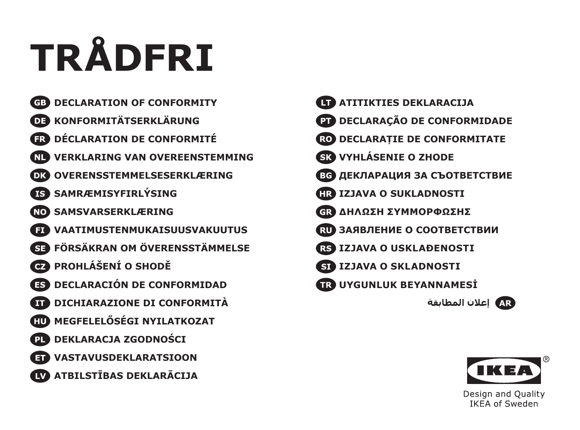# **TRÅDFRI**

- **B** DECLARATION OF CONFORMITY
- **DE KONFORMITÄTSERKLÄRUNG**
- **B** DÉCLARATION DE CONFORMITÉ
- **VERKLARING VAN OVEREENSTEMMING** ſм
- **OK OVERENSSTEMMELSESERKLÆRING**
- **SAMRÆMISYFIRLÝSING**  $T<sub>S</sub>$
- **NO SAMSVARSERKLÆRING**
- **VAATIMUSTENMUKAISUUSVAKUUTUS**
- **FÖRSÄKRAN OM ÖVERENSSTÄMMELSE**
- **PROHLÁŠENÍ O SHODĚ**
- **DECLARACIÓN DE CONFORMIDAD** ΈS
- **DICHIARAZIONE DI CONFORMITÀ**
- *<b> MEGFELELŐSÉGI NYILATKOZAT*
- **DEKLARACJA ZGODNOŚCI** PL.
	- **VASTAVUSDEKLARATSIOON**
- **ATBILSTĪBAS DEKLARĀCIJA** (IV

| <b>LD</b> ATITIKTIES DEKLARACIJA     |
|--------------------------------------|
| <b>ET DECLARAÇÃO DE CONFORMIDADE</b> |
| RO DECLARATIE DE CONFORMITATE        |
| <b>SKO VYHLÁSENIE O ZHODE</b>        |
| ВО ДЕКЛАРАЦИЯ ЗА СЪОТВЕТСТВИЕ        |
| <b>CR IZJAVA O SUKLADNOSTI</b>       |
| <b>GR ΔΗΛΩΣΗ ΣΥΜΜΟΡΦΩΣΗΣ</b>         |
| <b>RU</b> ЗАЯВЛЕНИЕ О СООТВЕТСТВИИ   |
| RS IZJAVA O USKLAĐENOSTI             |
| <b>SD IZJAVA O SKLADNOSTI</b>        |
| IR UYGUNLUK BEYANNAMESİ              |
|                                      |

**إعالن المطابقة**



Design and Ouality **IKFA of Sweden**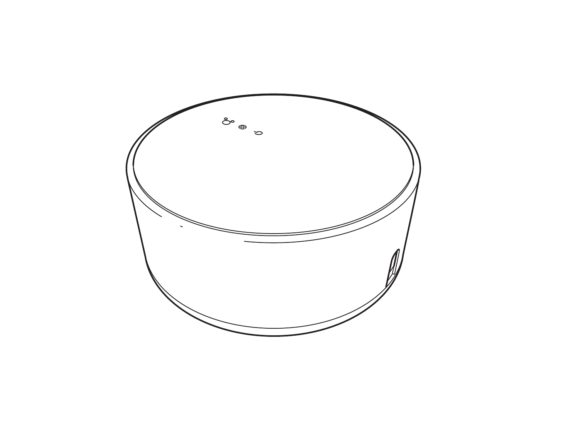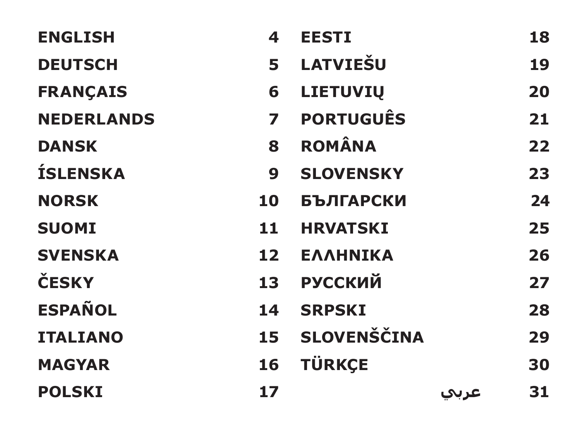| <b>ENGLISH</b>    | 4                        | <b>EESTI</b>       |      | 18 |
|-------------------|--------------------------|--------------------|------|----|
| <b>DEUTSCH</b>    | 5.                       | <b>LATVIEŠU</b>    |      | 19 |
| <b>FRANÇAIS</b>   | 6                        | <b>LIETUVIU</b>    |      | 20 |
| <b>NEDERLANDS</b> | $\overline{\phantom{a}}$ | <b>PORTUGUÊS</b>   |      | 21 |
| <b>DANSK</b>      | 8                        | <b>ROMÂNA</b>      |      | 22 |
| <b>ÍSLENSKA</b>   | 9                        | <b>SLOVENSKY</b>   |      | 23 |
| <b>NORSK</b>      | 10                       | <b>БЪЛГАРСКИ</b>   |      | 24 |
| <b>SUOMI</b>      | 11                       | <b>HRVATSKI</b>    |      | 25 |
| <b>SVENSKA</b>    | 12 <sub>1</sub>          | ΕΛΛΗΝΙΚΑ           |      | 26 |
| <b>ČESKY</b>      | 13                       | <b>РУССКИЙ</b>     |      | 27 |
| <b>ESPAÑOL</b>    | 14                       | <b>SRPSKI</b>      |      | 28 |
| <b>ITALIANO</b>   | 15                       | <b>SLOVENŠČINA</b> |      | 29 |
| <b>MAGYAR</b>     | 16                       | <b>TÜRKÇE</b>      |      | 30 |
| <b>POLSKI</b>     | 17                       |                    | عربي | 31 |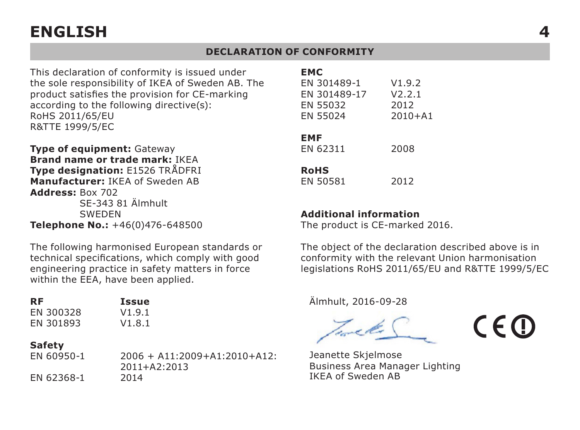### **ENGLISH 4**

#### **DECLARATION OF CONFORMITY**

This declaration of conformity is issued under the sole responsibility of IKEA of Sweden AB. The product satisfies the provision for CE-marking according to the following directive(s): RoHS 2011/65/EU R&TTE 1999/5/EC

**Type of equipment:** Gateway **Brand name or trade mark:** IKEA **Type designation:** E1526 TRÅDFRI **Manufacturer:** IKEA of Sweden AB **Address:** Box 702 SE-343 81 Älmhult SWEDEN **Telephone No.:** +46(0)476-648500

The following harmonised European standards or technical specifications, which comply with good engineering practice in safety matters in force within the EEA, have been applied.

| <b>RF</b>  | Issue                                            |
|------------|--------------------------------------------------|
| EN 300328  | V1.9.1                                           |
| EN 301893  | V1.8.1                                           |
| Safety     |                                                  |
| EN 60950-1 | 2006 + A11:2009+A1:2010+A12:<br>$2011 + A2:2013$ |
| EN 62368-1 | 2014                                             |

#### **EMC**

| EN 301489-1             | V1.9.2      |
|-------------------------|-------------|
| EN 301489-17            | V2.2.1      |
| EN 55032                | 2012        |
| EN 55024                | $2010 + A1$ |
| <b>EMF</b><br>EN 62311  | 2008        |
| <b>RoHS</b><br>EN 50581 | 2012        |

#### **Additional information**

The product is CE-marked 2016.

The object of the declaration described above is in conformity with the relevant Union harmonisation legislations RoHS 2011/65/EU and R&TTE 1999/5/EC

Älmhult, 2016-09-28

Jeanette Skjelmose Business Area Manager Lighting IKEA of Sweden AB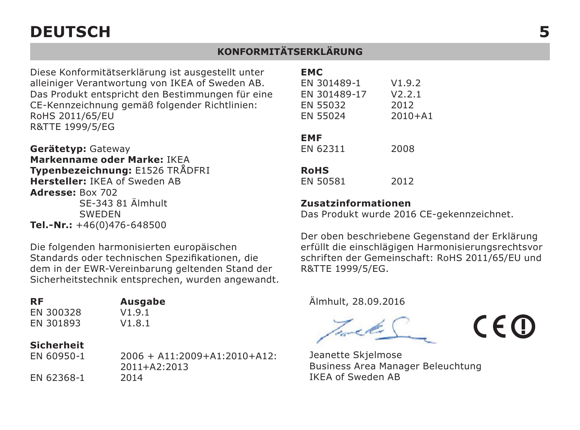### **DEUTSCH 5**

#### **KONFORMITÄTSERKLÄRUNG**

Diese Konformitätserklärung ist ausgestellt unter alleiniger Verantwortung von IKEA of Sweden AB. Das Produkt entspricht den Bestimmungen für eine CE-Kennzeichnung gemäß folgender Richtlinien: RoHS 2011/65/EU R&TTE 1999/5/EG

**Gerätetyp:** Gateway **Markenname oder Marke:** IKEA **Typenbezeichnung:** E1526 TRÅDFRI **Hersteller:** IKEA of Sweden AB **Adresse:** Box 702 SE-343 81 Älmhult **SWEDEN Tel.-Nr.:** +46(0)476-648500

Die folgenden harmonisierten europäischen Standards oder technischen Spezifikationen, die dem in der EWR-Vereinbarung geltenden Stand der Sicherheitstechnik entsprechen, wurden angewandt.

| RF         | Ausgabe                      |
|------------|------------------------------|
| EN 300328  | V1.9.1                       |
| EN 301893  | V1.8.1                       |
|            |                              |
| Sicherheit |                              |
| EN 60950-1 | 2006 + A11:2009+A1:2010+A12: |
|            |                              |
|            | $2011 + A2:2013$             |
| EN 62368-1 | 2014                         |

#### **EMC**

| EN 301489-1  | V1.9.2      |
|--------------|-------------|
| EN 301489-17 | V2.2.1      |
| EN 55032     | 2012        |
| EN 55024     | $2010 + A1$ |
|              |             |
| <b>EMF</b>   |             |
| EN 62311     | 2008        |
|              |             |
| <b>RoHS</b>  |             |
| EN 50581     | 2012        |
|              |             |

#### **Zusatzinformationen**

Das Produkt wurde 2016 CE-gekennzeichnet.

Der oben beschriebene Gegenstand der Erklärung erfüllt die einschlägigen Harmonisierungsrechtsvor schriften der Gemeinschaft: RoHS 2011/65/EU und R&TTE 1999/5/EG.

Älmhult, 28.09.2016

Jeanette Skjelmose Business Area Manager Beleuchtung IKEA of Sweden AB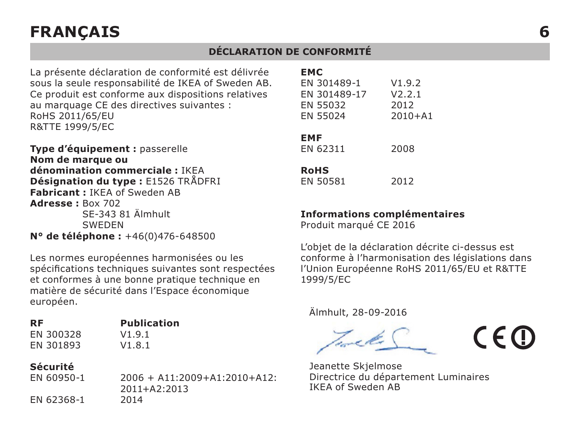### **FRANÇAIS 6**

#### **DÉCLARATION DE CONFORMITÉ**

La présente déclaration de conformité est délivrée sous la seule responsabilité de IKEA of Sweden AB. Ce produit est conforme aux dispositions relatives au marquage CE des directives suivantes : RoHS 2011/65/EU R&TTE 1999/5/EC

**Type d'équipement :** passerelle **Nom de marque ou dénomination commerciale :** IKEA **Désignation du type :** E1526 TRÅDFRI **Fabricant :** IKEA of Sweden AB **Adresse :** Box 702 SE-343 81 Älmhult SWEDEN **N° de téléphone :** +46(0)476-648500

Les normes européennes harmonisées ou les spécifications techniques suivantes sont respectées et conformes à une bonne pratique technique en matière de sécurité dans l'Espace économique européen.

| <b>RF</b>             | <b>Publication</b> |
|-----------------------|--------------------|
| EN 300328             | V1.9.1             |
| EN 301893<br>Sécurité | V1.8.1             |

EN 60950-1 2006 + A11:2009+A1:2010+A12:  $2011+42:2013$ EN 62368-1 2014

#### **EMC**

| EN 301489-1  | V1.9.2      |
|--------------|-------------|
| EN 301489-17 | V2.2.1      |
| EN 55032     | 2012        |
| EN 55024     | $2010 + A1$ |
| <b>EMF</b>   |             |
| EN 62311     | 2008        |
| <b>RoHS</b>  |             |
| EN 50581     | 2012        |

#### **Informations complémentaires**

Produit marqué CE 2016

L'objet de la déclaration décrite ci-dessus est conforme à l'harmonisation des législations dans l'Union Européenne RoHS 2011/65/EU et R&TTE 1999/5/EC

Älmhult, 28-09-2016

Jeanette Skjelmose Directrice du département Luminaires IKEA of Sweden AB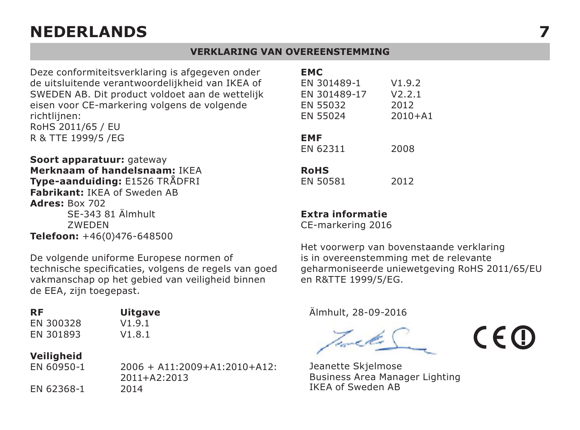### **NEDERLANDS 7**

#### **VERKLARING VAN OVEREENSTEMMING**

Deze conformiteitsverklaring is afgegeven onder de uitsluitende verantwoordelijkheid van IKEA of SWEDEN AB. Dit product voldoet aan de wettelijk eisen voor CE-markering volgens de volgende richtliinen: RoHS 2011/65 / EU R & TTE 1999/5 /EG

**Soort apparatuur:** gateway **Merknaam of handelsnaam:** IKEA **Type-aanduiding:** E1526 TRÅDFRI **Fabrikant:** IKEA of Sweden AB **Adres:** Box 702 SE-343 81 Älmhult ZWEDEN **Telefoon:** +46(0)476-648500

De volgende uniforme Europese normen of technische specificaties, volgens de regels van goed vakmanschap op het gebied van veiligheid binnen de EEA, zijn toegepast.

| <b>RF</b> | Uitgave |
|-----------|---------|
| EN 300328 | V1.9.1  |
| EN 301893 | V1.8.1  |

### **Veiligheid**<br>FN 60950-1

 $2006 + 411:2009 + 41:2010 + 412$ : 2011+A2:2013 EN 62368-1 2014

#### **EMC**

| EN 301489-1             | V1.9.2      |
|-------------------------|-------------|
| EN 301489-17            | V2.2.1      |
| EN 55032                | 2012        |
| EN 55024                | $2010 + A1$ |
| <b>EMF</b><br>EN 62311  | 2008        |
| <b>RoHS</b><br>EN 50581 | 2012        |

#### **Extra informatie**

CE-markering 2016

Het voorwerp van bovenstaande verklaring is in overeenstemming met de relevante geharmoniseerde uniewetgeving RoHS 2011/65/EU en R&TTE 1999/5/EG.

Älmhult, 28-09-2016

Jeanette Skjelmose Business Area Manager Lighting IKEA of Sweden AB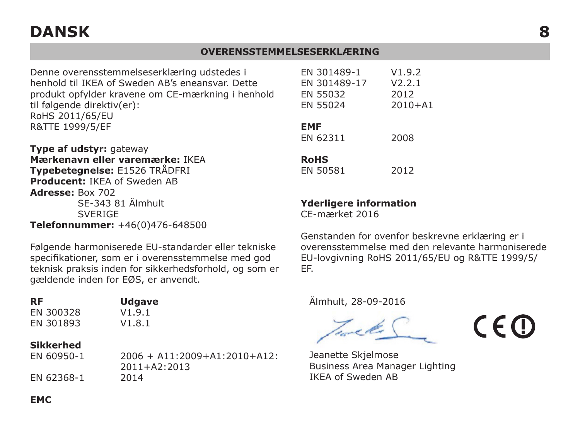### **DANSK 8**

**EMC**

#### **OVERENSSTEMMELSESERKLÆRING**

Denne overensstemmelseserklæring udstedes i henhold til IKEA of Sweden AB's eneansvar. Dette produkt opfylder kravene om CE-mærkning i henhold til følgende direktiv(er): RoHS 2011/65/EU R&TTE 1999/5/EF

**Type af udstyr:** gateway **Mærkenavn eller varemærke:** IKEA **Typebetegnelse:** E1526 TRÅDFRI **Producent:** IKEA of Sweden AB **Adresse:** Box 702 SE-343 81 Älmhult SVERIGE **Telefonnummer:** +46(0)476-648500

Følgende harmoniserede EU-standarder eller tekniske specifikationer, som er i overensstemmelse med god teknisk praksis inden for sikkerhedsforhold, og som er gældende inden for EØS, er anvendt.

| RF         | Udgave                            |
|------------|-----------------------------------|
| EN 300328  | V1.9.1                            |
| EN 301893  | V1.8.1                            |
|            |                                   |
| Sikkerhed  |                                   |
| EN 60950-1 | $2006 + A11:2009 + A1:2010 + A12$ |
|            | $2011 + A2:2013$                  |
| EN 62368-1 | 2014                              |
|            |                                   |

| EN 301489-1  | V1.9.2      |
|--------------|-------------|
| EN 301489-17 | V2.2.1      |
| EN 55032     | 2012        |
| EN 55024     | $2010 + A1$ |
|              |             |
| <b>EMF</b>   |             |
| EN 62311     | 2008        |
|              |             |
| <b>RoHS</b>  |             |
| EN 50581     | 2012        |
|              |             |

#### **Yderligere information**

CE-mærket 2016

Genstanden for ovenfor beskrevne erklæring er i overensstemmelse med den relevante harmoniserede EU-lovgivning RoHS 2011/65/EU og R&TTE 1999/5/ EF.

Älmhult, 28-09-2016

Jeanette Skjelmose Business Area Manager Lighting IKEA of Sweden AB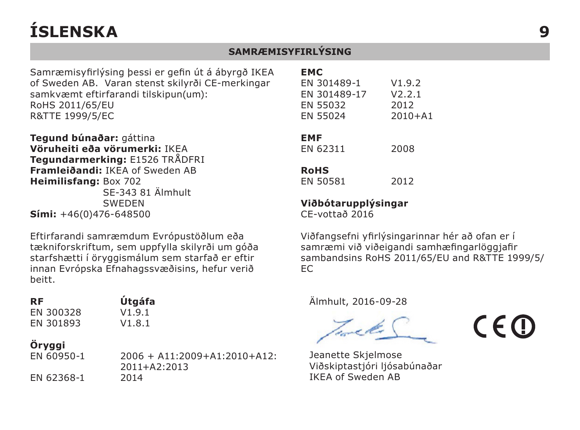## **ÍSLENSKA 9**

#### **SAMRÆMISYFIRLÝSING**

Samræmisyfirlýsing þessi er gefin út á ábyrgð IKEA of Sweden AB. Varan stenst skilyrði CE-merkingar samkvæmt eftirfarandi tilskipun(um): RoHS 2011/65/EU R&TTE 1999/5/EC

| Tegund búnaðar: gáttina         |  |  |
|---------------------------------|--|--|
| Vöruheiti eða vörumerki: IKEA   |  |  |
| Tegundarmerking: E1526 TRÅDFRI  |  |  |
| Framleiðandi: IKEA of Sweden AB |  |  |
| Heimilisfang: Box 702           |  |  |
| SE-343 81 Älmhult               |  |  |
| <b>SWEDEN</b>                   |  |  |
| $Sími: +46(0)476-648500$        |  |  |

Eftirfarandi samræmdum Evrópustöðlum eða tækniforskriftum, sem uppfylla skilyrði um góða starfshætti í öryggismálum sem starfað er eftir innan Evrópska Efnahagssvæðisins, hefur verið beitt.

| RF         | Útgáfa                       |
|------------|------------------------------|
| EN 300328  | V1.9.1                       |
| EN 301893  | V1.8.1                       |
| Örvggi     |                              |
| EN 60950-1 | 2006 + A11:2009+A1:2010+A12: |
|            | 2011+A2:2013                 |
| FN 62368-1 | 2014                         |

#### **EMC**

| EN 301489-1  | V1.9.2      |
|--------------|-------------|
| EN 301489-17 | V2.2.1      |
| EN 55032     | 2012        |
| EN 55024     | $2010 + A1$ |
|              |             |
| <b>EMF</b>   |             |
| EN 62311     | 2008        |
|              |             |
| <b>RoHS</b>  |             |
| EN 50581     | 2012        |
|              |             |

#### **Viðbótarupplýsingar**

CE-vottað 2016

Viðfangsefni yfirlýsingarinnar hér að ofan er í samræmi við viðeigandi samhæfingarlöggjafir sambandsins RoHS 2011/65/EU and R&TTE 1999/5/ EC

Älmhult, 2016-09-28

France

Jeanette Skjelmose Viðskiptastjóri ljósabúnaðar IKEA of Sweden AB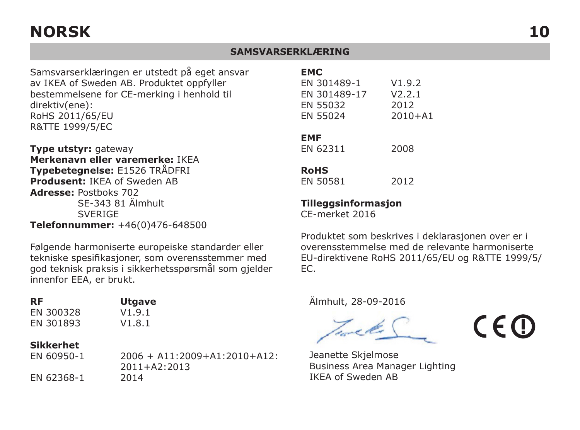### **NORSK 10**

#### **SAMSVARSERKLÆRING**

Samsvarserklæringen er utstedt på eget ansvar av IKEA of Sweden AB. Produktet oppfyller bestemmelsene for CE-merking i henhold til direktiv(ene): RoHS 2011/65/EU R&TTE 1999/5/EC

**Type utstyr:** gateway **Merkenavn eller varemerke:** IKEA **Typebetegnelse:** E1526 TRÅDFRI **Produsent:** IKEA of Sweden AB **Adresse:** Postboks 702 SE-343 81 Älmhult SVERIGE **Telefonnummer:** +46(0)476-648500

Følgende harmoniserte europeiske standarder eller tekniske spesifikasjoner, som overensstemmer med god teknisk praksis i sikkerhetsspørsmål som gjelder innenfor EEA, er brukt.

| <b>RF</b>        | Utgave                       |
|------------------|------------------------------|
| EN 300328        | V1.9.1                       |
| EN 301893        | V1.8.1                       |
| <b>Sikkerhet</b> |                              |
| EN 60950-1       | 2006 + A11:2009+A1:2010+A12: |
|                  | $2011 + A2:2013$             |
| EN 62368-1       | 2014                         |

#### **EMC**<br>FN 301490-1

| EN 301489-1  | V1.9.2      |
|--------------|-------------|
| EN 301489-17 | V2.2.1      |
| EN 55032     | 2012        |
| EN 55024     | $2010 + A1$ |
|              |             |
| <b>EMF</b>   |             |
| EN 62311     | 2008        |
|              |             |
| <b>RoHS</b>  |             |
| EN 50581     | 2012        |
|              |             |

**Tilleggsinformasjon**

CE-merket 2016

Produktet som beskrives i deklarasjonen over er i overensstemmelse med de relevante harmoniserte EU-direktivene RoHS 2011/65/EU og R&TTE 1999/5/ EC.

Älmhult, 28-09-2016

Jeanette Skjelmose Business Area Manager Lighting IKEA of Sweden AB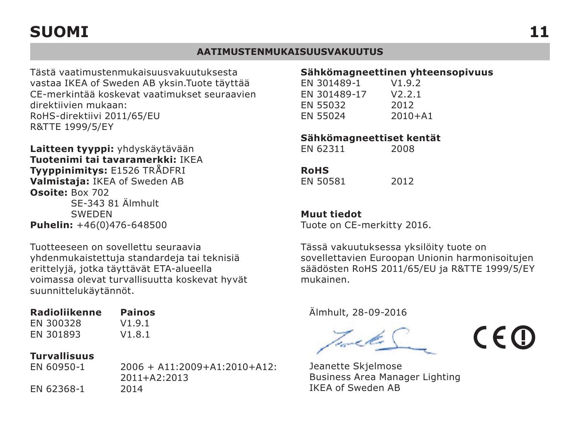### **SUOMI 11**

#### **AATIMUSTENMUKAISUUSVAKUUTUS**

Tästä vaatimustenmukaisuusvakuutuksesta vastaa IKEA of Sweden AB yksin.Tuote täyttää CE-merkintää koskevat vaatimukset seuraavien direktiivien mukaan: RoHS-direktiivi 2011/65/EU R&TTE 1999/5/EY

**Laitteen tyyppi:** yhdyskäytävään **Tuotenimi tai tavaramerkki:** IKEA **Tyyppinimitys:** E1526 TRÅDFRI **Valmistaja:** IKEA of Sweden AB **Osoite:** Box 702 SE-343 81 Älmhult SWEDEN **Puhelin:** +46(0)476-648500

Tuotteeseen on sovellettu seuraavia yhdenmukaistettuja standardeja tai teknisiä erittelyjä, jotka täyttävät ETA-alueella voimassa olevat turvallisuutta koskevat hyvät suunnittelukäytännöt.

| <b>Radioliikenne</b> | Painos |
|----------------------|--------|
| EN 300328            | V1.9.1 |
| EN 301893            | V1.8.1 |

### **Turvallisuus**

 $2006 + 411:2009 + 41:2010 + 412$ 2011+A2:2013 EN 62368-1 2014

#### **Sähkömagneettinen yhteensopivuus**

| EN 301489-1  | V1.9.2    |
|--------------|-----------|
| EN 301489-17 | V2.2.1    |
| EN 55032     | 2012      |
| EN 55024     | $2010+A1$ |
|              |           |

**Sähkömagneettiset kentät**

#### **RoHS**

EN 50581 2012

#### **Muut tiedot**

Tuote on CE-merkitty 2016.

Tässä vakuutuksessa yksilöity tuote on sovellettavien Euroopan Unionin harmonisoitujen säädösten RoHS 2011/65/EU ja R&TTE 1999/5/EY mukainen.

Älmhult, 28-09-2016

Jeanette Skjelmose Business Area Manager Lighting IKEA of Sweden AB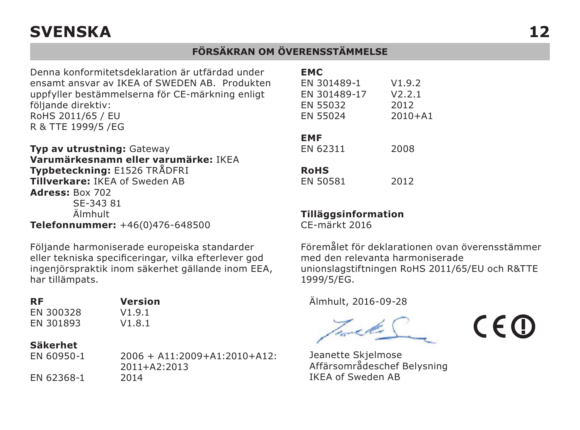### **SVENSKA 12**

#### **FÖRSÄKRAN OM ÖVERENSSTÄMMELSE**

Denna konformitetsdeklaration är utfärdad under ensamt ansvar av IKEA of SWEDEN AB. Produkten uppfyller bestämmelserna för CE-märkning enligt följande direktiv: RoHS 2011/65 / EU R & TTE 1999/5 /EG

**Typ av utrustning:** Gateway **Varumärkesnamn eller varumärke:** IKEA **Typbeteckning:** E1526 TRÅDFRI **Tillverkare:** IKEA of Sweden AB **Adress:** Box 702 SE-343 81 Älmhult **Telefonnummer:** +46(0)476-648500

Följande harmoniserade europeiska standarder eller tekniska specificeringar, vilka efterlever god ingenjörspraktik inom säkerhet gällande inom EEA, har tillämpats.

| RF         | Version                      |
|------------|------------------------------|
| EN 300328  | V1.9.1                       |
| EN 301893  | V1.8.1                       |
| Säkerhet   |                              |
| EN 60950-1 | 2006 + A11:2009+A1:2010+A12: |
|            | $2011 + A2:2013$             |

#### **EMC**

| EN 301489-1<br>EN 301489-17<br>EN 55032<br>EN 55024 | V1.9.2<br>V2.2.1<br>2012<br>$2010 + A1$ |
|-----------------------------------------------------|-----------------------------------------|
| EMF<br>EN 62311                                     | 2008                                    |
| <b>RoHS</b><br>EN 50581                             | 2012                                    |

#### **Tilläggsinformation**

CE-märkt 2016

Föremålet för deklarationen ovan överensstämmer med den relevanta harmoniserade unionslagstiftningen RoHS 2011/65/EU och R&TTE 1999/5/EG.

Älmhult, 2016-09-28

Jeanette Skjelmose Affärsområdeschef Belysning IKEA of Sweden AB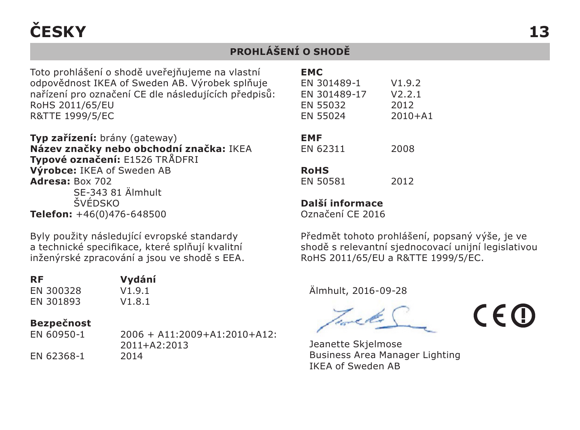**ČESKY 13**

#### **PROHLÁŠENÍ O SHODĚ**

Toto prohlášení o shodě uveřejňujeme na vlastní odpovědnost IKEA of Sweden AB. Výrobek splňuje nařízení pro označení CE dle následujících předpisů: RoHS 2011/65/EU R&TTE 1999/5/EC

**Typ zařízení:** brány (gateway) **Název značky nebo obchodní značka:** IKEA **Typové označení:** E1526 TRÅDFRI **Výrobce:** IKEA of Sweden AB **Adresa:** Box 702 SE-343 81 Älmhult ŠVÉDSKO **Telefon:** +46(0)476-648500

Byly použity následující evropské standardy a technické specifikace, které splňují kvalitní inženýrské zpracování a jsou ve shodě s EEA.

| <b>RF</b> | Vydání |
|-----------|--------|
| EN 300328 | V1.9.1 |
| EN 301893 | V1.8.1 |

### **Bezpečnost**

EN 62368-1 2014

 $2006 + 411:2009 + 41:2010 + 412$ 2011+A2:2013

#### **EMC**

| EN 301489-1  | V1.9.2      |
|--------------|-------------|
| EN 301489-17 | V2.2.1      |
| EN 55032     | 2012        |
| EN 55024     | $2010 + A1$ |
|              |             |
| <b>EMF</b>   |             |
| EN 62311     | 2008        |
|              |             |
| <b>RoHS</b>  |             |
| EN 50581     | 2012        |
|              |             |

#### **Další informace**

Označení CE 2016

Předmět tohoto prohlášení, popsaný výše, je ve shodě s relevantní sjednocovací unijní legislativou RoHS 2011/65/EU a R&TTE 1999/5/EC.

Älmhult, 2016-09-28

Jeanette Skjelmose Business Area Manager Lighting IKEA of Sweden AB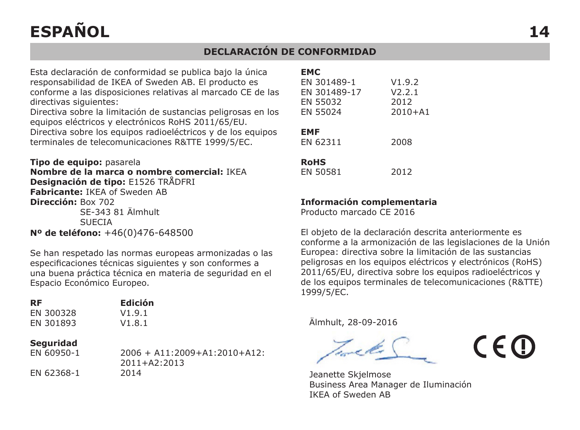## **ESPAÑOL 14**

#### **DECLARACIÓN DE CONFORMIDAD**

Esta declaración de conformidad se publica bajo la única responsabilidad de IKEA of Sweden AB. El producto es conforme a las disposiciones relativas al marcado CE de las directivas siguientes:

Directiva sobre la limitación de sustancias peligrosas en los equipos eléctricos y electrónicos RoHS 2011/65/EU. Directiva sobre los equipos radioeléctricos y de los equipos terminales de telecomunicaciones R&TTE 1999/5/EC.

**Tipo de equipo:** pasarela **Nombre de la marca o nombre comercial:** IKEA **Designación de tipo:** E1526 TRÅDFRI **Fabricante:** IKEA of Sweden AB **Dirección:** Box 702 SE-343 81 Älmhult **SUECIA Nº de teléfono:** +46(0)476-648500

Se han respetado las normas europeas armonizadas o las especificaciones técnicas siguientes y son conformes a una buena práctica técnica en materia de seguridad en el Espacio Económico Europeo.

| RF         | Edición                      |
|------------|------------------------------|
| EN 300328  | V1.9.1                       |
| EN 301893  | V1.8.1                       |
| Seguridad  |                              |
| EN 60950-1 | 2006 + A11:2009+A1:2010+A12: |
|            | $2011 + A2:2013$             |
| EN 62368-1 | 2014                         |

#### **EMC**

| EN 301489-1<br>EN 301489-17<br>EN 55032<br>EN 55024 | V1.9.2<br>V2.2.1<br>2012<br>$2010 + A1$ |
|-----------------------------------------------------|-----------------------------------------|
| <b>EMF</b><br>EN 62311                              | 2008                                    |
| <b>RoHS</b><br>EN 50581                             | 2012                                    |

#### **Información complementaria**

Producto marcado CE 2016

El objeto de la declaración descrita anteriormente es conforme a la armonización de las legislaciones de la Unión Europea: directiva sobre la limitación de las sustancias peligrosas en los equipos eléctricos y electrónicos (RoHS) 2011/65/EU, directiva sobre los equipos radioeléctricos y de los equipos terminales de telecomunicaciones (R&TTE) 1999/5/EC.

Älmhult, 28-09-2016



Jeanette Skjelmose Business Area Manager de Iluminación IKEA of Sweden AB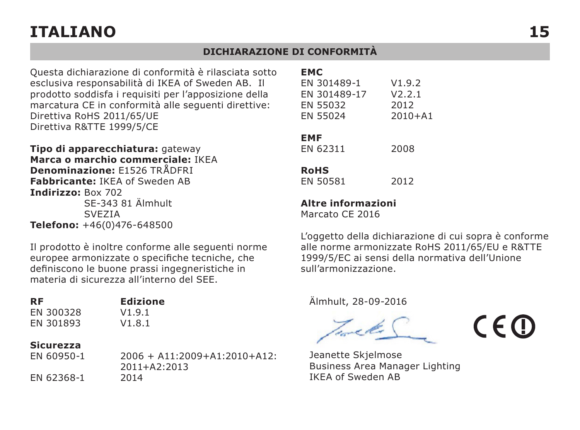### **ITALIANO 15**

#### **DICHIARAZIONE DI CONFORMITÀ**

Questa dichiarazione di conformità è rilasciata sotto esclusiva responsabilità di IKEA of Sweden AB. Il prodotto soddisfa i requisiti per l'apposizione della marcatura CE in conformità alle seguenti direttive: Direttiva RoHS 2011/65/UE Direttiva R&TTE 1999/5/CE

**Tipo di apparecchiatura:** gateway **Marca o marchio commerciale:** IKEA **Denominazione:** E1526 TRÅDFRI **Fabbricante:** IKEA of Sweden AB **Indirizzo:** Box 702 SE-343 81 Älmhult SVEZIA **Telefono:** +46(0)476-648500

Il prodotto è inoltre conforme alle seguenti norme europee armonizzate o specifiche tecniche, che definiscono le buone prassi ingegneristiche in materia di sicurezza all'interno del SEE.

| RF         | Edizione                     |
|------------|------------------------------|
| EN 300328  | V1.9.1                       |
| EN 301893  | V1.8.1                       |
| Sicurezza  |                              |
| EN 60950-1 | 2006 + A11:2009+A1:2010+A12: |
|            | $2011 + A2:2013$             |
| EN 62368-1 | 2014                         |
|            |                              |

#### **EMC**

| EN 301489-1  | V1.9.2      |
|--------------|-------------|
| EN 301489-17 | V2.2.1      |
| EN 55032     | 2012        |
| EN 55024     | $2010 + A1$ |
| <b>EMF</b>   |             |
| EN 62311     | 2008        |
| <b>RoHS</b>  |             |
| EN 50581     | 2012        |
|              |             |

**Altre informazioni**

Marcato CE 2016

L'oggetto della dichiarazione di cui sopra è conforme alle norme armonizzate RoHS 2011/65/EU e R&TTE 1999/5/EC ai sensi della normativa dell'Unione sull'armonizzazione.

Älmhult, 28-09-2016

Jeanette Skjelmose Business Area Manager Lighting IKEA of Sweden AB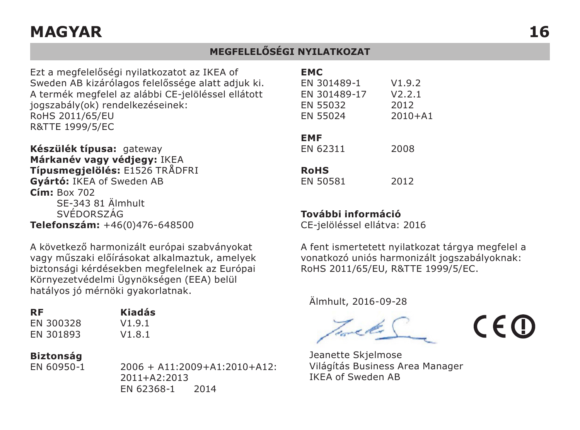### **MAGYAR 16**

#### **MEGFELELŐSÉGI NYILATKOZAT**

Ezt a megfelelőségi nyilatkozatot az IKEA of Sweden AB kizárólagos felelőssége alatt adjuk ki. A termék megfelel az alábbi CE-jelöléssel ellátott jogszabály(ok) rendelkezéseinek: RoHS 2011/65/EU R&TTE 1999/5/EC

**Készülék típusa:** gateway **Márkanév vagy védjegy:** IKEA **Típusmegjelölés:** E1526 TRÅDFRI **Gyártó:** IKEA of Sweden AB **Cím:** Box 702 SE-343 81 Älmhult SVÉDORSZÁG **Telefonszám:** +46(0)476-648500

A következő harmonizált európai szabványokat vagy műszaki előírásokat alkalmaztuk, amelyek biztonsági kérdésekben megfelelnek az Európai Környezetvédelmi Ügynökségen (EEA) belül hatályos jó mérnöki gyakorlatnak.

| <b>RF</b> | Kiadás |
|-----------|--------|
| EN 300328 | V1.9.1 |
| EN 301893 | V1.8.1 |

### **Biztonság**

 $2006 + 411:2009 + 41:2010 + 412$ 2011+A2:2013 EN 62368-1 2014

#### **EMC**

| EN 301489-1<br>EN 301489-17<br>EN 55032<br>EN 55024 | V1.9.2<br>V2.2.1<br>2012<br>$2010 + A1$ |
|-----------------------------------------------------|-----------------------------------------|
| <b>EMF</b><br>EN 62311                              | 2008                                    |
| <b>RoHS</b><br>EN 50581                             | 2012                                    |

#### **További információ**

CE-jelöléssel ellátva: 2016

A fent ismertetett nyilatkozat tárgya megfelel a vonatkozó uniós harmonizált jogszabályoknak: RoHS 2011/65/EU, R&TTE 1999/5/EC.

Älmhult, 2016-09-28

CEC

Jeanette Skjelmose Világítás Business Area Manager IKEA of Sweden AB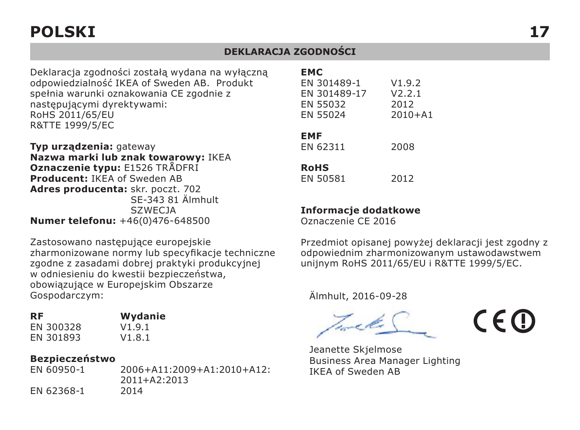### **POLSKI 17**

#### **DEKLARACJA ZGODNOŚCI**

Deklaracja zgodności zostałą wydana na wyłączną odpowiedzialność IKEA of Sweden AB. Produkt spełnia warunki oznakowania CE zgodnie z następującymi dyrektywami: RoHS 2011/65/EU R&TTE 1999/5/EC

**Typ urządzenia:** gateway **Nazwa marki lub znak towarowy:** IKEA **Oznaczenie typu:** E1526 TRÅDFRI **Producent:** IKEA of Sweden AB **Adres producenta:** skr. poczt. 702 SE-343 81 Älmhult SZWEC14 **Numer telefonu:** +46(0)476-648500

Zastosowano następujące europejskie zharmonizowane normy lub specyfikacje techniczne zgodne z zasadami dobrej praktyki produkcyjnej w odniesieniu do kwestii bezpieczeństwa, obowiązujące w Europejskim Obszarze Gospodarczym:

| <b>RF</b> | Wydanie |
|-----------|---------|
| EN 300328 | V1.9.1  |
| EN 301893 | V1.8.1  |

### **Bezpieczeństwo**

EN 60950-1 2006+A11:2009+A1:2010+A12: 2011+A2:2013 EN 62368-1 2014

#### **EMC**

| <b>RoHS</b>            |             |
|------------------------|-------------|
| <b>EMF</b><br>EN 62311 | 2008        |
| EN 55024               | $2010 + A1$ |
| EN 55032               | 2012        |
| EN 301489-17           | V2.2.1      |
| EN 301489-1            | V1.9.2      |

EN 50581 2012

#### **Informacje dodatkowe**

Oznaczenie CE 2016

Przedmiot opisanej powyżej deklaracji jest zgodny z odpowiednim zharmonizowanym ustawodawstwem unijnym RoHS 2011/65/EU i R&TTE 1999/5/EC.

Älmhult, 2016-09-28

Jeanette Skjelmose Business Area Manager Lighting IKEA of Sweden AB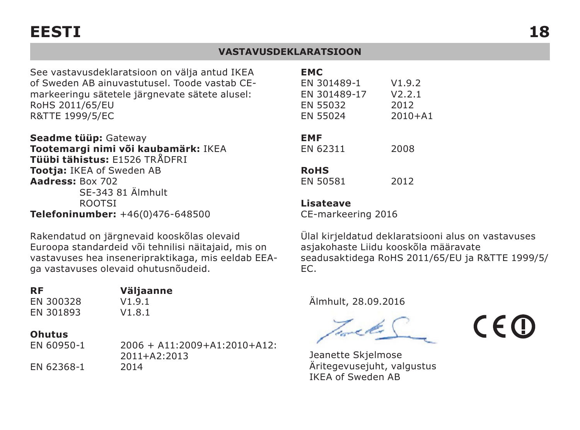### **EESTI 18**

#### **VASTAVUSDEKLARATSIOON**

See vastavusdeklaratsioon on välja antud IKEA of Sweden AB ainuvastutusel. Toode vastab CEmarkeeringu sätetele järgnevate sätete alusel: RoHS 2011/65/EU R&TTE 1999/5/EC

**Seadme tüüp:** Gateway **Tootemargi nimi või kaubamärk:** IKEA **Tüübi tähistus:** E1526 TRÅDFRI **Tootja:** IKEA of Sweden AB **Aadress:** Box 702 SE-343 81 Älmhult **ROOTSI Telefoninumber:** +46(0)476-648500

Rakendatud on järgnevaid kooskõlas olevaid Euroopa standardeid või tehnilisi näitajaid, mis on vastavuses hea inseneripraktikaga, mis eeldab EEAga vastavuses olevaid ohutusnõudeid.

> **RF Väljaanne**  $V1.9.1$  $V1.8.1$

| <b>RF</b> |           |  |
|-----------|-----------|--|
|           | EN 300328 |  |
|           | EN 301893 |  |

**Ohutus**<br>**EN 60950-1**  $2006 + A11:2009+A1:2010+A12$ : 2011+A2:2013 EN 62368-1 2014

#### **EMC**

| EN 301489-1  | V1.9.2      |
|--------------|-------------|
| EN 301489-17 | V2.2.1      |
| EN 55032     | 2012        |
| EN 55024     | $2010 + A1$ |
| <b>EMF</b>   |             |
| EN 62311     | 2008        |
| <b>RoHS</b>  |             |
| EN 50581     | 2012        |

#### **Lisateave**

CE-markeering 2016

Ülal kirjeldatud deklaratsiooni alus on vastavuses asjakohaste Liidu kooskõla määravate seadusaktidega RoHS 2011/65/EU ja R&TTE 1999/5/ EC.

Älmhult, 28.09.2016

Jeanette Skjelmose Äritegevusejuht, valgustus IKEA of Sweden AB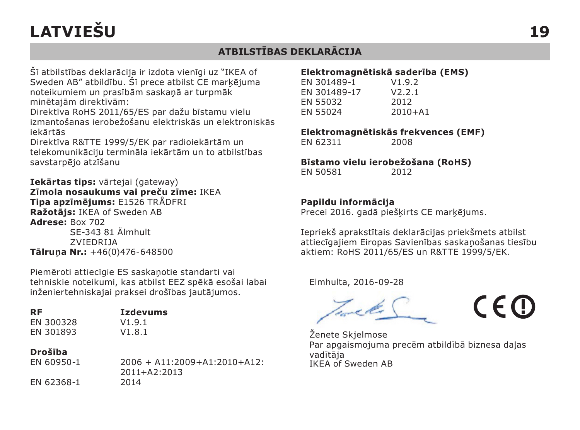## **LATVIEŠU 19**

#### **ATBILSTĪBAS DEKLARĀCIJA**

Šī atbilstības deklarācija ir izdota vienīgi uz "IKEA of Sweden AB" atbildību. Šī prece atbilst CE marķējuma noteikumiem un prasībām saskaņā ar turpmāk minētajām direktīvām:

Direktīva RoHS 2011/65/ES par dažu bīstamu vielu izmantošanas ierobežošanu elektriskās un elektroniskās iekārtās

Direktīva R&TTE 1999/5/EK par radioiekārtām un telekomunikāciju termināla iekārtām un to atbilstības savstarpējo atzīšanu

**Iekārtas tips:** vārtejai (gateway) **Zīmola nosaukums vai preču zīme:** IKEA **Tipa apzīmējums:** E1526 TRÅDFRI **Ražotājs:** IKEA of Sweden AB **Adrese:** Box 702 SE-343 81 Älmhult ZVIEDRIJA **Tālruņa Nr.:** +46(0)476-648500

Piemēroti attiecīgie ES saskaņotie standarti vai tehniskie noteikumi, kas atbilst EEZ spēkā esošai labai inženiertehniskajai praksei drošības jautājumos.

| <b>RF</b><br>EN 300328<br>EN 301893 | <b>Izdevums</b><br>V1.9.1<br>V1.8.1              |
|-------------------------------------|--------------------------------------------------|
| Drošība                             |                                                  |
| EN 60950-1                          | 2006 + A11:2009+A1:2010+A12:<br>$2011 + A2:2013$ |
| EN 62368-1                          | 2014                                             |

#### **Elektromagnētiskā saderība (EMS)**

| EN 301489-1  | V1.9.2      |
|--------------|-------------|
| EN 301489-17 | V2.2.1      |
| EN 55032     | 2012        |
| EN 55024     | $2010 + A1$ |

**Elektromagnētiskās frekvences (EMF)**

EN 62311

### **Bīstamo vielu ierobežošana (RoHS)**

**EN 50581** 

#### **Papildu informācija**

Precei 2016. gadā piešķirts CE marķējums.

Iepriekš aprakstītais deklarācijas priekšmets atbilst attiecīgajiem Eiropas Savienības saskaņošanas tiesību aktiem: RoHS 2011/65/ES un R&TTE 1999/5/EK.

Elmhulta, 2016-09-28

CEC

Ženete Skjelmose Par apgaismojuma precēm atbildībā biznesa daļas vadītāja IKEA of Sweden AB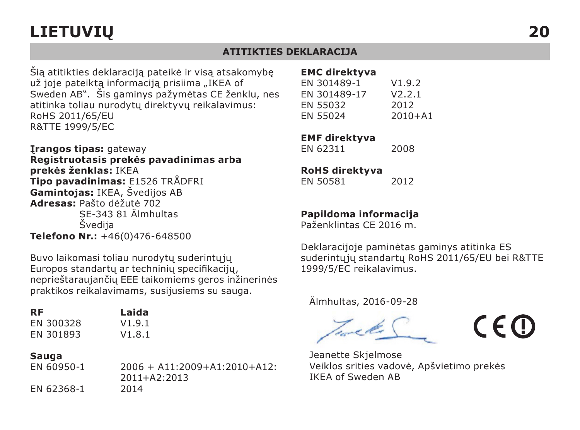### **LIETUVIŲ 20**

#### **ATITIKTIES DEKLARACIJA**

Šią atitikties deklaraciją pateikė ir visą atsakomybę už ioie pateikta informaciją prisiima "IKEA of Sweden AB". Šis gaminys pažymėtas CE ženklu, nes atitinka toliau nurodytų direktyvų reikalavimus: RoHS 2011/65/EU R&TTE 1999/5/EC

**Įrangos tipas:** gateway **Registruotasis prekės pavadinimas arba prekės ženklas:** IKEA **Tipo pavadinimas:** E1526 TRÅDFRI **Gamintojas:** IKEA, Švedijos AB **Adresas:** Pašto dėžutė 702 SE-343 81 Älmhultas Švedija **Telefono Nr.:** +46(0)476-648500

Buvo laikomasi toliau nurodytų suderintų jų Europos standartų ar techninių specifikacijų, neprieštaraujančių EEE taikomiems geros inžinerinės praktikos reikalavimams, susijusiems su sauga.

| <b>RF</b> | Laida  |
|-----------|--------|
| EN 300328 | V1.9.1 |
| EN 301893 | V1.8.1 |

**Sauga**<br>FN 60950-1  $2006 + 411:2009 + 41:2010 + 412$ : 2011+A2:2013 EN 62368-1 2014

#### **EMC direktyva**

| EN 301489-1  | V1.9.2    |
|--------------|-----------|
| EN 301489-17 | V2.2.1    |
| EN 55032     | 2012      |
| EN 55024     | $2010+A1$ |
|              |           |

**EMF direktyva**

EN 62311 2008

#### **RoHS direktyva**

EN 50581 2012

#### **Papildoma informacija**

Paženklintas CE 2016 m.

Deklaracijoje paminėtas gaminys atitinka ES suderintų jų standartų RoHS 2011/65/EU bei R&TTE 1999/5/EC reikalavimus.

Älmhultas, 2016-09-28

Track

Jeanette Skjelmose Veiklos srities vadovė, Apšvietimo prekės IKEA of Sweden AB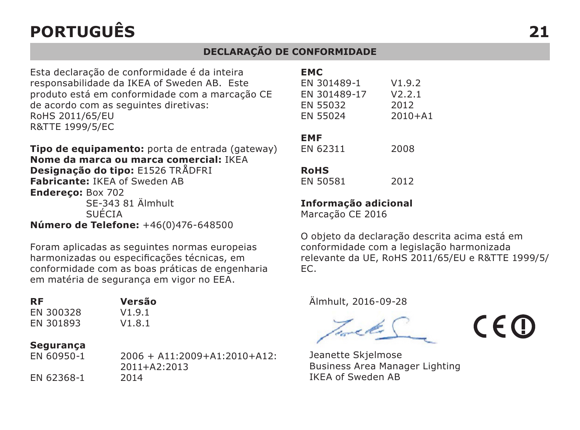## **PORTUGUÊS 21**

#### **DECLARAÇÃO DE CONFORMIDADE**

Esta declaração de conformidade é da inteira responsabilidade da IKEA of Sweden AB. Este produto está em conformidade com a marcação CE de acordo com as seguintes diretivas: RoHS 2011/65/EU R&TTE 1999/5/EC

**Tipo de equipamento:** porta de entrada (gateway) **Nome da marca ou marca comercial:** IKEA **Designação do tipo:** E1526 TRÅDFRI **Fabricante:** IKEA of Sweden AB **Endereço:** Box 702 SE-343 81 Älmhult SUÉCIA **Número de Telefone:** +46(0)476-648500

Foram aplicadas as seguintes normas europeias harmonizadas ou especificações técnicas, em conformidade com as boas práticas de engenharia em matéria de segurança em vigor no EEA.

| RF                      | Versão           |
|-------------------------|------------------|
| EN 300328               | V1.9.1           |
| EN 301893               | V1.8.1           |
| Segurança<br>EN 60950-1 | $2006 + A11:200$ |
|                         |                  |

 $9+41:2010+412:$ 2011+A2:2013 EN 62368-1 2014

#### **EMC**

| EN 301489-1  | V1.9.2      |
|--------------|-------------|
| EN 301489-17 | V2.2.1      |
| EN 55032     | 2012        |
| EN 55024     | $2010 + A1$ |
|              |             |
| <b>EMF</b>   |             |
| EN 62311     | 2008        |
|              |             |
| <b>RoHS</b>  |             |
| EN 50581     | 2012        |
|              |             |

**Informação adicional**

Marcação CE 2016

O objeto da declaração descrita acima está em conformidade com a legislação harmonizada relevante da UE, RoHS 2011/65/EU e R&TTE 1999/5/ EC.

Älmhult, 2016-09-28

CEC

Jeanette Skjelmose Business Area Manager Lighting IKEA of Sweden AB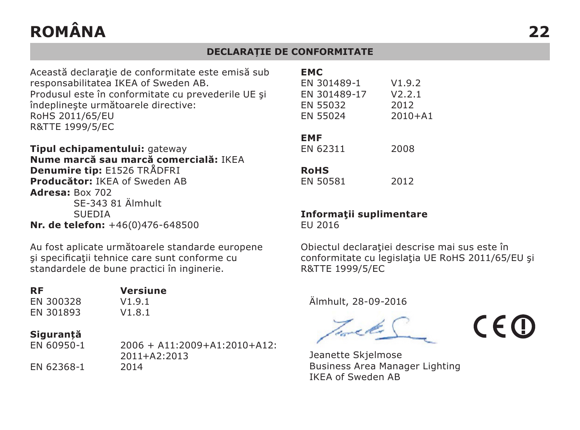## **ROMÂNA 22**

#### **DECLARAȚIE DE CONFORMITATE**

Această declarație de conformitate este emisă sub responsabilitatea IKEA of Sweden AB. Produsul este în conformitate cu prevederile UE şi îndeplineşte următoarele directive: RoHS 2011/65/EU R&TTE 1999/5/EC

**Tipul echipamentului:** gateway **Nume marcă sau marcă comercială:** IKEA **Denumire tip:** E1526 TRÅDFRI **Producător:** IKEA of Sweden AB **Adresa:** Box 702 SE-343 81 Älmhult SUEDIA **Nr. de telefon:** +46(0)476-648500

Au fost aplicate următoarele standarde europene si specificatii tehnice care sunt conforme cu standardele de bune practici în inginerie.

| RF |           |  |
|----|-----------|--|
|    | EN 300328 |  |
|    | EN 301893 |  |

#### **RF Versiune**  $V1.9.1$

 $V1.8.1$ 

### **Siguranță**

EN 62368-1 2014

 $2006 + A11:2009+A1:2010+A12$ : 2011+A2:2013

#### **EMC**

| EN 301489-1  | V1.9.2      |
|--------------|-------------|
| EN 301489-17 | V2.2.1      |
| EN 55032     | 2012        |
| EN 55024     | $2010 + A1$ |
| <b>EMF</b>   |             |
| EN 62311     | 2008        |
| <b>RoHS</b>  |             |
| EN 50581     | 2012        |

#### **Informaţii suplimentare** EU 2016

Obiectul declaratiei descrise mai sus este în conformitate cu legislatia UE RoHS 2011/65/EU si R&TTE 1999/5/EC

Älmhult, 28-09-2016

Jeanette Skjelmose Business Area Manager Lighting IKEA of Sweden AB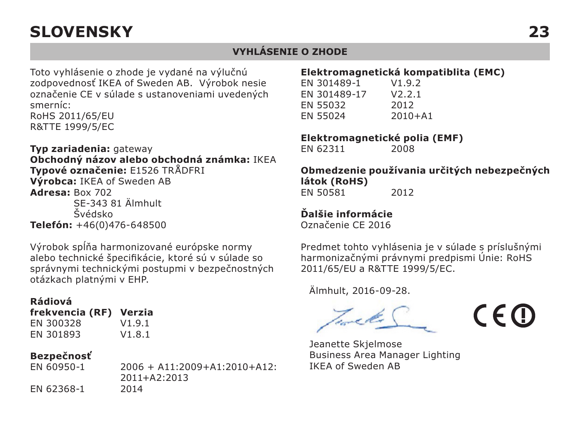### **SLOVENSKY 23**

#### **VYHLÁSENIE O ZHODE**

Toto vyhlásenie o zhode je vydané na výlučnú zodpovednosť IKEA of Sweden AB. Výrobok nesie označenie CE v súlade s ustanoveniami uvedených smerníc: RoHS 2011/65/EU

R&TTE 1999/5/EC

**Typ zariadenia:** gateway **Obchodný názov alebo obchodná známka:** IKEA **Typové označenie:** E1526 TRÅDFRI **Výrobca:** IKEA of Sweden AB **Adresa:** Box 702 SE-343 81 Älmhult Švédsko **Telefón:** +46(0)476-648500

Výrobok spĺňa harmonizované európske normy alebo technické špecifikácie, ktoré sú v súlade so správnymi technickými postupmi v bezpečnostných otázkach platnými v EHP.

#### **Rádiová**

**frekvencia (RF) Verzia** EN 300328 V1.9.1

**EN 301893** 

### **Bezpečnosť**

 $2006 + A11:2009+A1:2010+A12$ : 2011+A2:2013 EN 62368-1 2014

#### **Elektromagnetická kompatiblita (EMC)**

| EN 301489-1  | V1.9.2      |
|--------------|-------------|
| EN 301489-17 | V2.2.1      |
| EN 55032     | 2012        |
| EN 55024     | $2010 + A1$ |
|              |             |

**Elektromagnetické polia (EMF)** 

EN 62311 2008

**Obmedzenie používania určitých nebezpečných látok (RoHS)** EN 50581 2012

**Ďalšie informácie**

Označenie CE 2016

Predmet tohto vyhlásenia je v súlade s príslušnými harmonizačnými právnymi predpismi Únie: RoHS 2011/65/EU a R&TTE 1999/5/EC.

Älmhult, 2016-09-28.

Jeanette Skjelmose Business Area Manager Lighting IKEA of Sweden AB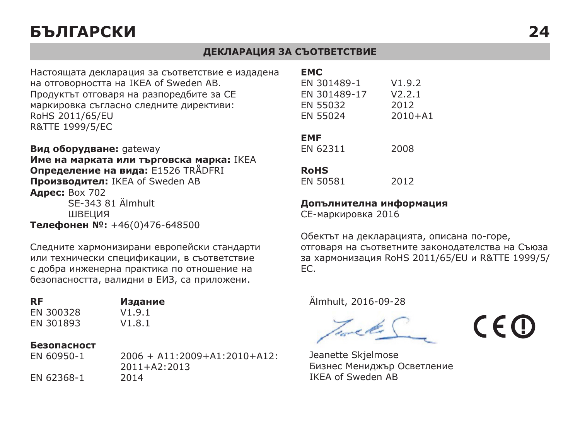### **БЪЛГАРСКИ 24**

#### **ДЕКЛАРАЦИЯ ЗА СЪОТВЕТСТВИЕ**

Настоящата декларация за съответствие е издадена на отговорността на IKEA of Sweden AB. Продуктът отговаря на разпоредбите за СЕ маркировка съгласно следните директиви: RoHS 2011/65/EU R&TTE 1999/5/EC

**Вид оборудване:** gateway **Име на марката или търговска марка:** IKEA **Определение на вида:** E1526 TRÅDFRI **Производител:** IKEA of Sweden AB **Адрес:** Box 702 SE-343 81 Älmhult ШВЕЦИЯ **Телефонен №:** +46(0)476-648500

Следните хармонизирани европейски стандарти или технически спецификации, в съответствие с добра инженерна практика по отношение на безопасността, валидни в ЕИЗ, са приложени.

| RF        |  |
|-----------|--|
| EN 300328 |  |
| EN 301893 |  |

#### **RF Издание**  $V1.9.1$

 $V1.8.1$ 

### **Безопасност**<br>**FN 60950-1**

 $2006 + 411:2009 + 41:2010 + 412$ : 2011+A2:2013 EN 62368-1 2014

#### **EMC**

| EN 301489-1  | V1.9.2    |
|--------------|-----------|
| EN 301489-17 | V2.2.1    |
| EN 55032     | 2012      |
| EN 55024     | $2010+A1$ |
|              |           |
| <b>EMF</b>   |           |
| EN 62311     | 2008      |
|              |           |
| <b>RoHS</b>  |           |
| EN 50581     | 2012      |
|              |           |

#### **Допълнителна информация**

СЕ-маркировка 2016

Обектът на декларацията, описана по-горе, отговаря на съответните законодателства на Съюза за хармонизация RoHS 2011/65/EU и R&TTE 1999/5/ EC.

Älmhult, 2016-09-28

Tare

Jeanette Skjelmose Бизнес Мениджър Осветление IKEA of Sweden AB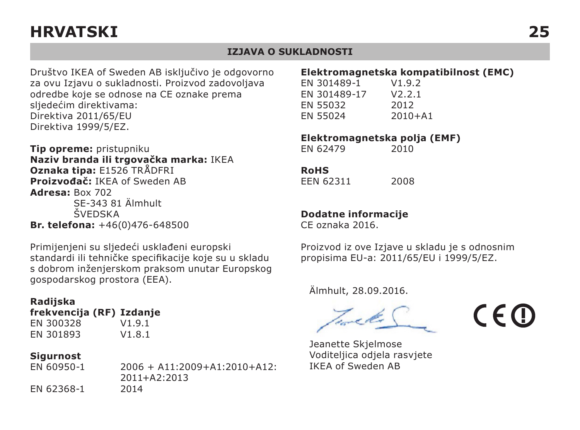### **HRVATSKI 25**

#### **IZJAVA O SUKLADNOSTI**

Društvo IKEA of Sweden AB isključivo je odgovorno za ovu Izjavu o sukladnosti. Proizvod zadovoljava odredbe koje se odnose na CE oznake prema sljedećim direktivama: Direktiva 2011/65/EU Direktiva 1999/5/EZ.

**Tip opreme:** pristupniku **Naziv branda ili trgovačka marka:** IKEA **Oznaka tipa:** E1526 TRÅDFRI **Proizvođač:** IKEA of Sweden AB **Adresa:** Box 702 SE-343 81 Älmhult ŠVEDSKA **Br. telefona:** +46(0)476-648500

Primijenjeni su sljedeći usklađeni europski standardi ili tehničke specifikacije koje su u skladu s dobrom inženjerskom praksom unutar Europskog gospodarskog prostora (EEA).

#### **Radijska**

**frekvencija (RF) Izdanje** 

 $EN 300328$ EN 301893 V1.8.1

### **Sigurnost**<br>FN 60950-1

 $2006 + 411:2009 + 41:2010 + 412$ : 2011+A2:2013 EN 62368-1 2014

#### **Elektromagnetska kompatibilnost (EMC)**

| V1.9.2    |
|-----------|
| V2.2.1    |
| 2012      |
| $2010+A1$ |
|           |

**Elektromagnetska polja (EMF)**

| EN 62479 | 2010 |
|----------|------|

**RoHS** EEN 62311 2008

#### **Dodatne informacije**

CE oznaka 2016.

Proizvod iz ove Izjave u skladu je s odnosnim propisima EU-a: 2011/65/EU i 1999/5/EZ.

Älmhult, 28.09.2016.

Jeanette Skjelmose Voditeljica odjela rasvjete IKEA of Sweden AB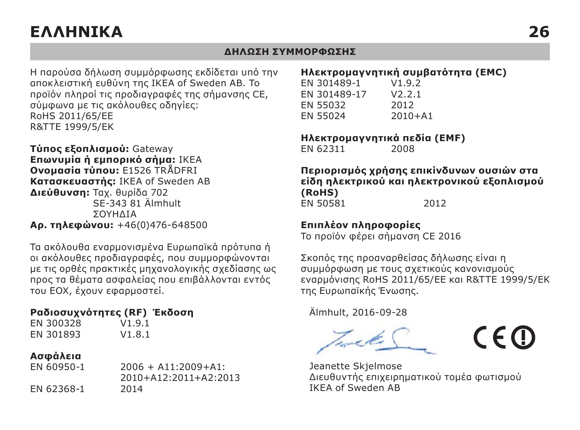### **ΕΛΛΗΝΙΚΑ 26**

#### **ΔΗΛΩΣΗ ΣΥΜΜΟΡΦΩΣΗΣ**

Η παρούσα δήλωση συμμόρφωσης εκδίδεται υπό την αποκλειστική ευθύνη της IKEA of Sweden AB. Το προϊόν πληροί τις προδιαγραφές της σήμανσης CE, σύμφωνα με τις ακόλουθες οδηγίες: RoHS 2011/65/ΕΕ R&TTE 1999/5/ΕΚ

**Τύπος εξοπλισμού:** Gateway **Επωνυμία ή εμπορικό σήμα:** IKEA **Ονομασία τύπου:** E1526 TRÅDFRI **Κατασκευαστής:** IKEA of Sweden AB **Διεύθυνση:** Ταχ. θυρίδα 702 SE-343 81 Älmhult ΣΟΥΗΔΙΑ **Αρ. τηλεφώνου:** +46(0)476-648500

Τα ακόλουθα εναρμονισμένα Ευρωπαϊκά πρότυπα ή οι ακόλουθες προδιαγραφές, που συμμορφώνονται με τις ορθές πρακτικές μηχανολογικής σχεδίασης ως προς τα θέματα ασφαλείας που επιβάλλονται εντός του ΕΟΧ, έχουν εφαρμοστεί.

### **Ραδιοσυχνότητες (RF) Έκδοση**

 $EN 300328$ EN 301893 V1.8.1

### **Ασφάλεια**

 $2006 + 411:2009 + A1$ 2010+A12:2011+A2:2013 EN 62368-1 2014

#### **Ηλεκτρομαγνητική συμβατότητα (EMC)**

| V1.9.2                                              |
|-----------------------------------------------------|
| V2.2.1                                              |
| 2012                                                |
| $2010 + A1$                                         |
| EN 301489-1<br>EN 301489-17<br>EN 55032<br>EN 55024 |

**Ηλεκτρομαγνητικά πεδία (EMF)** EN 62311 2008

**Περιορισμός χρήσης επικίνδυνων ουσιών στα είδη ηλεκτρικού και ηλεκτρονικού εξοπλισμού (RoHS)** EN 50581 2012

#### **Επιπλέον πληροφορίες**

Το προϊόν φέρει σήμανση CE 2016

Σκοπός της προαναρθείσας δήλωσης είναι η συμμόρφωση με τους σχετικούς κανονισμούς εναρμόνισης RoHS 2011/65/ΕΕ και R&TTE 1999/5/ΕΚ της Ευρωπαϊκής Ένωσης.

Älmhult, 2016-09-28

 $C \in \mathbb{C}$ 

Jeanette Skjelmose Διευθυντής επιχειρηματικού τομέα φωτισμού IKEA of Sweden AB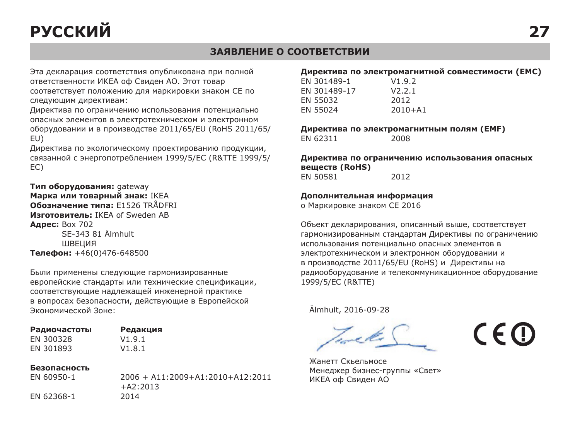## **РУССКИЙ 27**

#### **ЗАЯВЛЕНИЕ О СООТВЕТСТВИИ**

Эта декларация соответствия опубликована при полной ответственности ИКЕА оф Свиден АО. Этот товар соответствует положению для маркировки знаком СЕ по следующим директивам:

Директива по ограничению использования потенциально опасных элементов в электротехническом и электронном оборудовании и в производстве 2011/65/EU (RoHS 2011/65/ EU)

Директива по экологическому проектированию продукции, связанной с энергопотреблением 1999/5/EC (R&TTE 1999/5/ EC)

**Тип оборудования:** gateway **Марка или товарный знак:** IKEA **Обозначение типа:** E1526 TRÅDFRI **Изготовитель:** IKEA of Sweden AB **Адрес:** Box 702 SE-343 81 Älmhult ШВЕЦИЯ **Телефон:** +46(0)476-648500

Были применены следующие гармонизированные европейские стандарты или технические спецификации, соответствующие надлежащей инженерной практике в вопросах безопасности, действующие в Европейской Экономической Зоне:

| Редакция |
|----------|
| V1.9.1   |
| V1.8.1   |
|          |

### **Безопасность**<br>**EN 60950-1**

 $2006 + 411:2009 + 41:2010 + 412:2011$  $+$ A2:2013<br>2014 **EN 62368-1** 

#### **Директива по электромагнитной совместимости (EMC)**

| FN 301489-1  | V1.9.2    |
|--------------|-----------|
| FN 301489-17 | V2.2.1    |
| FN 55032     | 2012      |
| FN 55024     | $2010+A1$ |
|              |           |

**Директива по электромагнитным полям (EMF)**  $EN$  62311

**Директива по ограничению использования опасных веществ (RoHS)** EN 50581 2012

#### **Дополнительная информация**

о Маркировке знаком СЕ 2016

Объект декларирования, описанный выше, соответствует гармонизированным стандартам Директивы по ограничению использования потенциально опасных элементов в электротехническом и электронном оборудовании и в производстве 2011/65/EU (RoHS) и Директивы на радиооборудование и телекоммуникационное оборудование 1999/5/EC (R&TTE)

Älmhult, 2016-09-28

Жанетт Скьельмосе Менеджер бизнес-группы «Свет» ИКЕА оф Свиден АО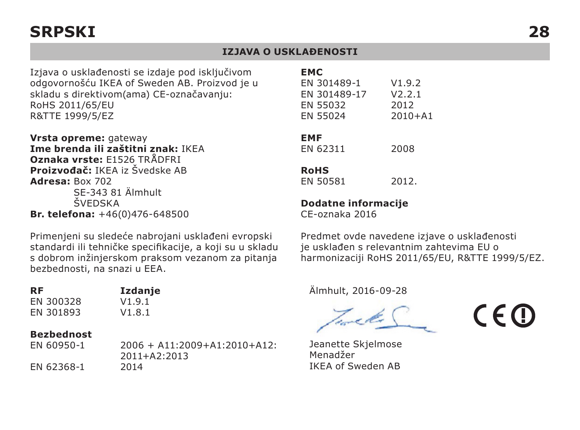### **SRPSKI 28**

#### **IZJAVA O USKLAĐENOSTI**

Izjava o usklađenosti se izdaje pod isključivom odgovornošću IKEA of Sweden AB. Proizvod je u skladu s direktivom(ama) CE-označavanju: RoHS 2011/65/EU R&TTE 1999/5/EZ

**Vrsta opreme:** gateway **Ime brenda ili zaštitni znak:** IKEA **Oznaka vrste:** E1526 TRÅDFRI **Proizvođač:** IKEA iz Švedske AB **Adresa:** Box 702 SE-343 81 Älmhult ŠVEDSKA **Br. telefona:** +46(0)476-648500

Primenjeni su sledeće nabrojani usklađeni evropski standardi ili tehničke specifikacije, a koji su u skladu s dobrom inžinjerskom praksom vezanom za pitanja bezbednosti, na snazi u EEA.

**RF Izdanje**

EN 300328 V1.9.1<br>FN 301893 V1.8.1 FN 301893

### Bezbednost<br>EN 60950-1

EN 62368-1 2014

 $2006 + A11:2009+A1:2010+A12$ : 2011+A2:2013

#### **EMC**

| <b>RoHS</b>            |                     |
|------------------------|---------------------|
| <b>EMF</b><br>EN 62311 | 2008                |
| EN 55032<br>EN 55024   | 2012<br>$2010 + A1$ |
| EN 301489-17           | V2.2.1              |
| EN 301489-1            | V1.9.2              |

EN 50581 2012.

#### **Dodatne informacije**

CE-oznaka 2016

Predmet ovde navedene izjave o usklađenosti je usklađen s relevantnim zahtevima EU o harmonizaciji RoHS 2011/65/EU, R&TTE 1999/5/EZ.

Älmhult, 2016-09-28

Jeanette Skjelmose Menadžer IKEA of Sweden AB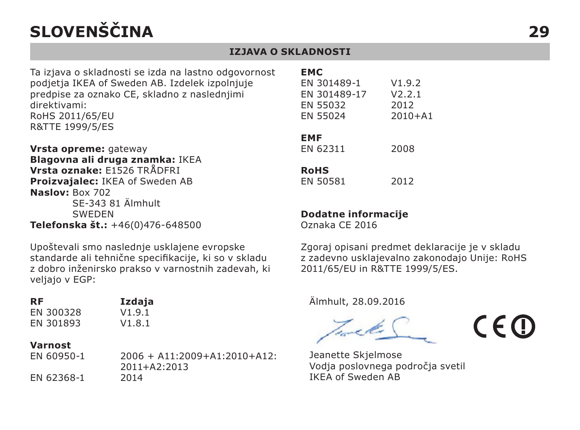## **SLOVENŠČINA 29**

#### **IZJAVA O SKLADNOSTI**

| Ta izjava o skladnosti se izda na lastno odgovornost |
|------------------------------------------------------|
| podjetja IKEA of Sweden AB. Izdelek izpolnjuje       |
| predpise za oznako CE, skladno z naslednjimi         |
| direktivami:                                         |
| RoHS 2011/65/EU                                      |
| R&TTE 1999/5/ES                                      |
|                                                      |

**Vrsta opreme:** gateway **Blagovna ali druga znamka:** IKEA **Vrsta oznake:** E1526 TRÅDFRI **Proizvajalec:** IKEA of Sweden AB **Naslov:** Box 702 SE-343 81 Älmhult SWEDEN **Telefonska št.:** +46(0)476-648500

Upoštevali smo naslednje usklajene evropske standarde ali tehnične specifikacije, ki so v skladu z dobro inženirsko prakso v varnostnih zadevah, ki veljajo v EGP:

| <b>RF</b> | Izdaja |
|-----------|--------|
| EN 300328 | V1.9.1 |
| EN 301893 | V1.8.1 |
| Varnost   |        |

| EN 60950-1 | 2006 + A11:2009+A1:2010+A12: |
|------------|------------------------------|
|            | 2011+A2:2013                 |
| EN 62368-1 | 2014                         |

### **EMC**

| EN 301489-1  | V1.9.2      |
|--------------|-------------|
| EN 301489-17 | V2.2.1      |
| EN 55032     | 2012        |
| EN 55024     | $2010 + A1$ |
| <b>EMF</b>   |             |
| EN 62311     | 2008        |
| <b>RoHS</b>  |             |
| EN 50581     | 2012        |

#### **Dodatne informacije**

Oznaka CE 2016

Zgoraj opisani predmet deklaracije je v skladu z zadevno usklajevalno zakonodajo Unije: RoHS 2011/65/EU in R&TTE 1999/5/ES.

Älmhult, 28.09.2016

Track

Jeanette Skjelmose Vodja poslovnega področja svetil IKEA of Sweden AB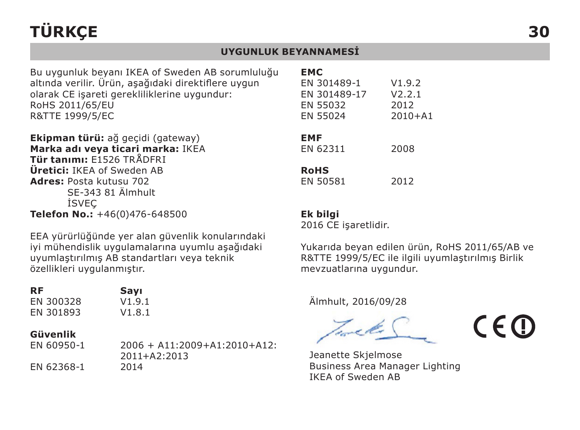## **TÜRKÇE 30**

#### **UYGUNLUK BEYANNAMESİ**

| Bu uygunluk beyanı IKEA of Sweden AB sorumluluğu    |
|-----------------------------------------------------|
| altında verilir. Ürün, aşağıdaki direktiflere uygun |
| olarak CE işareti gerekliliklerine uygundur:        |
| RoHS 2011/65/EU                                     |
| R&TTE 1999/5/EC                                     |
|                                                     |

**Ekipman türü:** ağ geçidi (gateway) **Marka adı veya ticari marka:** IKEA **Tür tanımı:** E1526 TRÅDFRI **Üretici:** IKEA of Sweden AB **Adres:** Posta kutusu 702 SE-343 81 Älmhult İSVEÇ **Telefon No.:** +46(0)476-648500

EEA yürürlüğünde yer alan güvenlik konularındaki iyi mühendislik uygulamalarına uyumlu aşağıdaki uyumlaştırılmış AB standartları veya teknik özellikleri uygulanmıştır.

| <b>RF</b> | Sayı   |
|-----------|--------|
| EN 300328 | V1.9.1 |
| EN 301893 | V1.8.1 |

### **Güvenlik**

 $2006 + A11:2009+A1:2010+A12$ : 2011+A2:2013 EN 62368-1 2014

#### **EMC**

| EN 301489-1<br>EN 301489-17<br>EN 55032<br>EN 55024 | V1.9.2<br>V2.2.1<br>2012<br>$2010 + A1$ |
|-----------------------------------------------------|-----------------------------------------|
| <b>EMF</b><br>EN 62311                              | 2008                                    |
| <b>RoHS</b><br>EN 50581                             | 2012                                    |

#### **Ek bilgi**

2016 CE işaretlidir.

Yukarıda beyan edilen ürün, RoHS 2011/65/AB ve R&TTE 1999/5/EC ile ilgili uyumlaştırılmış Birlik mevzuatlarına uygundur.

Älmhult, 2016/09/28

Jeanette Skjelmose Business Area Manager Lighting IKEA of Sweden AB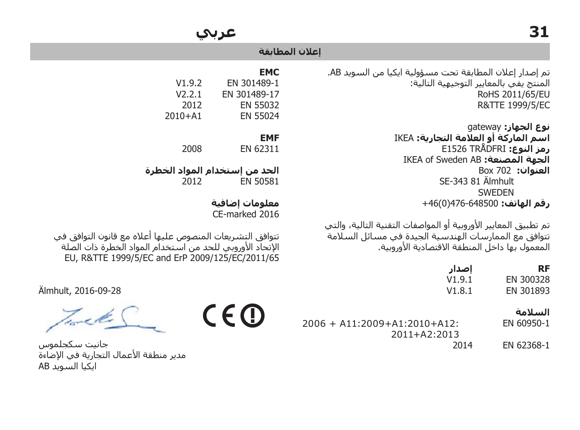| 31                                                                                                                                                                                                                                                | عربي                                                                |                                                                                                                                                                                 |
|---------------------------------------------------------------------------------------------------------------------------------------------------------------------------------------------------------------------------------------------------|---------------------------------------------------------------------|---------------------------------------------------------------------------------------------------------------------------------------------------------------------------------|
| اعلان المطابقة                                                                                                                                                                                                                                    |                                                                     |                                                                                                                                                                                 |
| تم إصدار إعلان المطابقة تحت مسؤولية ابكيا من السويد AB.<br>المنتج يفي بالمعابير التوجيهية التالية:<br>RoHS 2011/65/EU<br>R&TTE 1999/5/EC                                                                                                          | <b>EMC</b><br>EN 301489-1<br>EN 301489-17<br>EN 55032               | V1.9.2<br>V2.2.1<br>2012                                                                                                                                                        |
| نوع الجهاز: gateway<br>اسم الماركة أو العلامة التحارية: IKEA<br>رمز النوع: E1526 TRÅDFRI<br>IKEA of Sweden AB :فصنعة<br><b>Box 702: :Box 702</b>                                                                                                  | EN 55024<br><b>EMF</b><br>EN 62311<br>الحد من استخدام المواد الخطرة | $2010 + A1$<br>2008                                                                                                                                                             |
| SE-343 81 Älmhult<br><b>SWEDEN</b><br>رقم الهاتف: 648500-476(0)476-<br>تم تطبيق المعابير الأوروبية أو المواصفات التقنية التالية، والتبي<br>تتوافق مع الممارسات الهندسية الحيدة في مسائل السلامة<br>المعمول بها داخل المنطقة الاقتصادية الأوروبية. | EN 50581<br>معلومات اضافية<br>CE-marked 2016                        | 2012<br>تتوافق التشريعات المنصوص عليها أعلاه مع قانون التوافق في<br>الإتحاد الأوروبي للحد من استخدام المواد الخطرة ذات الصلة<br>EU, R&TTE 1999/5/EC and ErP 2009/125/EC/2011/65 |

| اصدار  | <b>RF</b> |
|--------|-----------|
| V1.9.1 | EN 300328 |
| V1.8.1 | EN 301893 |

#### **السالمة**

EN 60950-1 2014 EN 62368-1 2006 + A11:2009+A1:2010+A12: 2011+A2:2013

CEO

amen

Älmhult, 2016-09-28

جانيت سكجلموس<br>مدير منطقة الأعمال التجارية في الإضاءة ايكيا السويد AB